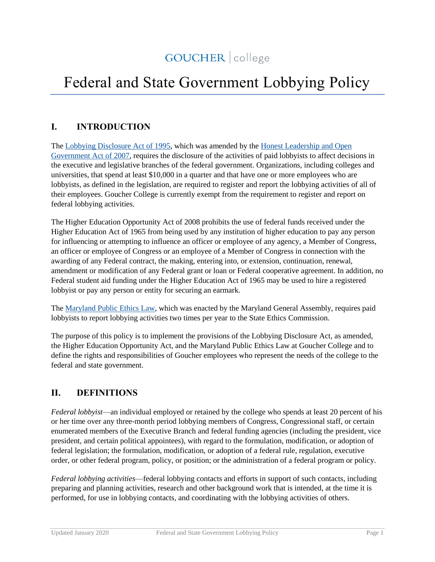# GOUCHER | college

# Federal and State Government Lobbying Policy

# **I. INTRODUCTION**

The [Lobbying Disclosure Act of 1995,](https://lobbyingdisclosure.house.gov/lda.html) which was amended by the [Honest Leadership and Open](https://www.fec.gov/updates/honest-leadership-and-open-government-act-of-2007/)  [Government Act of 2007,](https://www.fec.gov/updates/honest-leadership-and-open-government-act-of-2007/) requires the disclosure of the activities of paid lobbyists to affect decisions in the executive and legislative branches of the federal government. Organizations, including colleges and universities, that spend at least \$10,000 in a quarter and that have one or more employees who are lobbyists, as defined in the legislation, are required to register and report the lobbying activities of all of their employees. Goucher College is currently exempt from the requirement to register and report on federal lobbying activities.

The Higher Education Opportunity Act of 2008 prohibits the use of federal funds received under the Higher Education Act of 1965 from being used by any institution of higher education to pay any person for influencing or attempting to influence an officer or employee of any agency, a Member of Congress, an officer or employee of Congress or an employee of a Member of Congress in connection with the awarding of any Federal contract, the making, entering into, or extension, continuation, renewal, amendment or modification of any Federal grant or loan or Federal cooperative agreement. In addition, no Federal student aid funding under the Higher Education Act of 1965 may be used to hire a registered lobbyist or pay any person or entity for securing an earmark.

The [Maryland Public Ethics Law,](https://ethics.maryland.gov/public-ethics-law/) which was enacted by the Maryland General Assembly, requires paid lobbyists to report lobbying activities two times per year to the State Ethics Commission.

The purpose of this policy is to implement the provisions of the Lobbying Disclosure Act, as amended, the Higher Education Opportunity Act, and the Maryland Public Ethics Law at Goucher College and to define the rights and responsibilities of Goucher employees who represent the needs of the college to the federal and state government.

### **II. DEFINITIONS**

*Federal lobbyist*—an individual employed or retained by the college who spends at least 20 percent of his or her time over any three-month period lobbying members of Congress, Congressional staff, or certain enumerated members of the Executive Branch and federal funding agencies (including the president, vice president, and certain political appointees), with regard to the formulation, modification, or adoption of federal legislation; the formulation, modification, or adoption of a federal rule, regulation, executive order, or other federal program, policy, or position; or the administration of a federal program or policy.

*Federal lobbying activities*—federal lobbying contacts and efforts in support of such contacts, including preparing and planning activities, research and other background work that is intended, at the time it is performed, for use in lobbying contacts, and coordinating with the lobbying activities of others.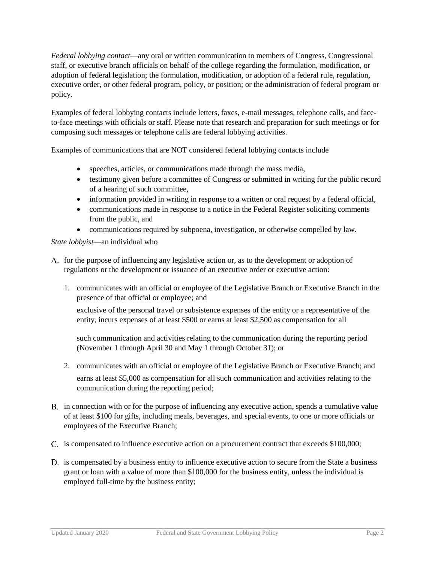*Federal lobbying contact*—any oral or written communication to members of Congress, Congressional staff, or executive branch officials on behalf of the college regarding the formulation, modification, or adoption of federal legislation; the formulation, modification, or adoption of a federal rule, regulation, executive order, or other federal program, policy, or position; or the administration of federal program or policy.

Examples of federal lobbying contacts include letters, faxes, e-mail messages, telephone calls, and faceto-face meetings with officials or staff. Please note that research and preparation for such meetings or for composing such messages or telephone calls are federal lobbying activities.

Examples of communications that are NOT considered federal lobbying contacts include

- speeches, articles, or communications made through the mass media,
- testimony given before a committee of Congress or submitted in writing for the public record of a hearing of such committee,
- information provided in writing in response to a written or oral request by a federal official,
- communications made in response to a notice in the Federal Register soliciting comments from the public, and
- communications required by subpoena, investigation, or otherwise compelled by law.

#### *State lobbyist*—an individual who

- A. for the purpose of influencing any legislative action or, as to the development or adoption of regulations or the development or issuance of an executive order or executive action:
	- 1. communicates with an official or employee of the Legislative Branch or Executive Branch in the presence of that official or employee; and

exclusive of the personal travel or subsistence expenses of the entity or a representative of the entity, incurs expenses of at least \$500 or earns at least \$2,500 as compensation for all

such communication and activities relating to the communication during the reporting period (November 1 through April 30 and May 1 through October 31); or

- 2. communicates with an official or employee of the Legislative Branch or Executive Branch; and earns at least \$5,000 as compensation for all such communication and activities relating to the communication during the reporting period;
- B. in connection with or for the purpose of influencing any executive action, spends a cumulative value of at least \$100 for gifts, including meals, beverages, and special events, to one or more officials or employees of the Executive Branch;
- C. is compensated to influence executive action on a procurement contract that exceeds \$100,000;
- D. is compensated by a business entity to influence executive action to secure from the State a business grant or loan with a value of more than \$100,000 for the business entity, unless the individual is employed full-time by the business entity;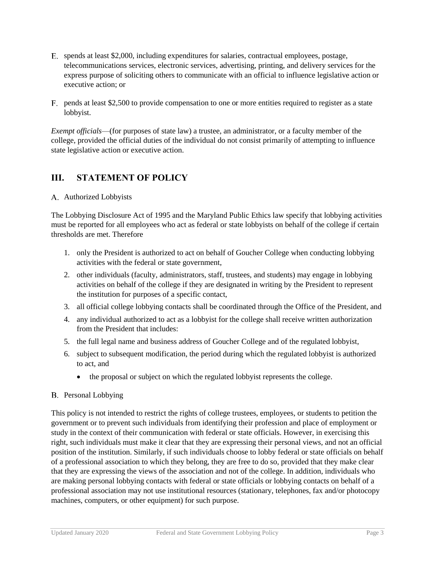- spends at least \$2,000, including expenditures for salaries, contractual employees, postage, telecommunications services, electronic services, advertising, printing, and delivery services for the express purpose of soliciting others to communicate with an official to influence legislative action or executive action; or
- pends at least \$2,500 to provide compensation to one or more entities required to register as a state lobbyist.

*Exempt officials*—(for purposes of state law) a trustee, an administrator, or a faculty member of the college, provided the official duties of the individual do not consist primarily of attempting to influence state legislative action or executive action.

### **III. STATEMENT OF POLICY**

#### Authorized Lobbyists

The Lobbying Disclosure Act of 1995 and the Maryland Public Ethics law specify that lobbying activities must be reported for all employees who act as federal or state lobbyists on behalf of the college if certain thresholds are met. Therefore

- 1. only the President is authorized to act on behalf of Goucher College when conducting lobbying activities with the federal or state government,
- 2. other individuals (faculty, administrators, staff, trustees, and students) may engage in lobbying activities on behalf of the college if they are designated in writing by the President to represent the institution for purposes of a specific contact,
- 3. all official college lobbying contacts shall be coordinated through the Office of the President, and
- 4. any individual authorized to act as a lobbyist for the college shall receive written authorization from the President that includes:
- 5. the full legal name and business address of Goucher College and of the regulated lobbyist,
- 6. subject to subsequent modification, the period during which the regulated lobbyist is authorized to act, and
	- the proposal or subject on which the regulated lobby ist represents the college.

#### B. Personal Lobbying

This policy is not intended to restrict the rights of college trustees, employees, or students to petition the government or to prevent such individuals from identifying their profession and place of employment or study in the context of their communication with federal or state officials. However, in exercising this right, such individuals must make it clear that they are expressing their personal views, and not an official position of the institution. Similarly, if such individuals choose to lobby federal or state officials on behalf of a professional association to which they belong, they are free to do so, provided that they make clear that they are expressing the views of the association and not of the college. In addition, individuals who are making personal lobbying contacts with federal or state officials or lobbying contacts on behalf of a professional association may not use institutional resources (stationary, telephones, fax and/or photocopy machines, computers, or other equipment) for such purpose.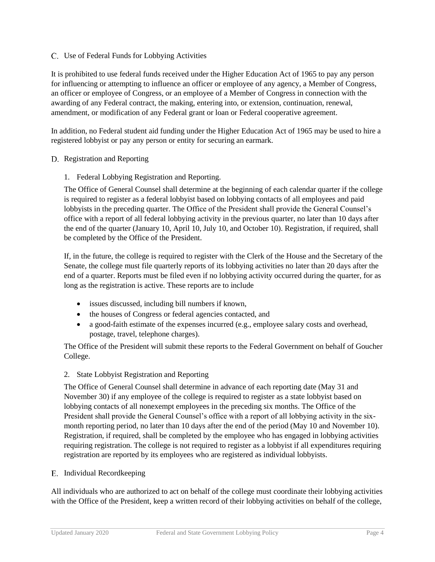#### Use of Federal Funds for Lobbying Activities

It is prohibited to use federal funds received under the Higher Education Act of 1965 to pay any person for influencing or attempting to influence an officer or employee of any agency, a Member of Congress, an officer or employee of Congress, or an employee of a Member of Congress in connection with the awarding of any Federal contract, the making, entering into, or extension, continuation, renewal, amendment, or modification of any Federal grant or loan or Federal cooperative agreement.

In addition, no Federal student aid funding under the Higher Education Act of 1965 may be used to hire a registered lobbyist or pay any person or entity for securing an earmark.

#### D. Registration and Reporting

1. Federal Lobbying Registration and Reporting.

The Office of General Counsel shall determine at the beginning of each calendar quarter if the college is required to register as a federal lobbyist based on lobbying contacts of all employees and paid lobbyists in the preceding quarter. The Office of the President shall provide the General Counsel's office with a report of all federal lobbying activity in the previous quarter, no later than 10 days after the end of the quarter (January 10, April 10, July 10, and October 10). Registration, if required, shall be completed by the Office of the President.

If, in the future, the college is required to register with the Clerk of the House and the Secretary of the Senate, the college must file quarterly reports of its lobbying activities no later than 20 days after the end of a quarter. Reports must be filed even if no lobbying activity occurred during the quarter, for as long as the registration is active. These reports are to include

- issues discussed, including bill numbers if known,
- the houses of Congress or federal agencies contacted, and
- a good-faith estimate of the expenses incurred (e.g., employee salary costs and overhead, postage, travel, telephone charges).

The Office of the President will submit these reports to the Federal Government on behalf of Goucher College.

#### 2. State Lobbyist Registration and Reporting

The Office of General Counsel shall determine in advance of each reporting date (May 31 and November 30) if any employee of the college is required to register as a state lobbyist based on lobbying contacts of all nonexempt employees in the preceding six months. The Office of the President shall provide the General Counsel's office with a report of all lobbying activity in the sixmonth reporting period, no later than 10 days after the end of the period (May 10 and November 10). Registration, if required, shall be completed by the employee who has engaged in lobbying activities requiring registration. The college is not required to register as a lobbyist if all expenditures requiring registration are reported by its employees who are registered as individual lobbyists.

#### E. Individual Recordkeeping

All individuals who are authorized to act on behalf of the college must coordinate their lobbying activities with the Office of the President, keep a written record of their lobbying activities on behalf of the college,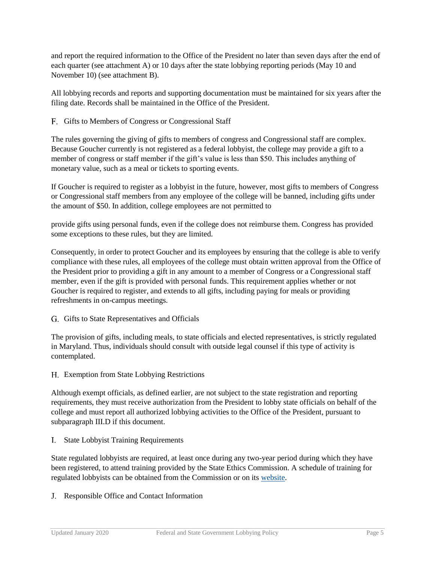and report the required information to the Office of the President no later than seven days after the end of each quarter (see attachment A) or 10 days after the state lobbying reporting periods (May 10 and November 10) (see attachment B).

All lobbying records and reports and supporting documentation must be maintained for six years after the filing date. Records shall be maintained in the Office of the President.

#### F. Gifts to Members of Congress or Congressional Staff

The rules governing the giving of gifts to members of congress and Congressional staff are complex. Because Goucher currently is not registered as a federal lobbyist, the college may provide a gift to a member of congress or staff member if the gift's value is less than \$50. This includes anything of monetary value, such as a meal or tickets to sporting events.

If Goucher is required to register as a lobbyist in the future, however, most gifts to members of Congress or Congressional staff members from any employee of the college will be banned, including gifts under the amount of \$50. In addition, college employees are not permitted to

provide gifts using personal funds, even if the college does not reimburse them. Congress has provided some exceptions to these rules, but they are limited.

Consequently, in order to protect Goucher and its employees by ensuring that the college is able to verify compliance with these rules, all employees of the college must obtain written approval from the Office of the President prior to providing a gift in any amount to a member of Congress or a Congressional staff member, even if the gift is provided with personal funds. This requirement applies whether or not Goucher is required to register, and extends to all gifts, including paying for meals or providing refreshments in on-campus meetings.

G. Gifts to State Representatives and Officials

The provision of gifts, including meals, to state officials and elected representatives, is strictly regulated in Maryland. Thus, individuals should consult with outside legal counsel if this type of activity is contemplated.

Exemption from State Lobbying Restrictions

Although exempt officials, as defined earlier, are not subject to the state registration and reporting requirements, they must receive authorization from the President to lobby state officials on behalf of the college and must report all authorized lobbying activities to the Office of the President, pursuant to subparagraph III.D if this document.

State Lobbyist Training Requirements

State regulated lobbyists are required, at least once during any two-year period during which they have been registered, to attend training provided by the State Ethics Commission. A schedule of training for regulated lobbyists can be obtained from the Commission or on its [website.](http://ethics.gov.state.md.us/)

J. Responsible Office and Contact Information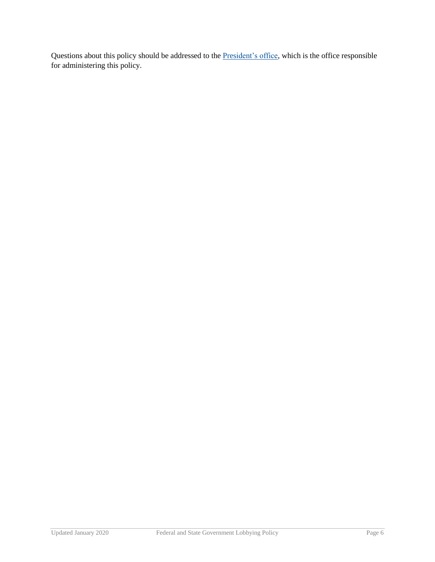Questions about this policy should be addressed to the **President's office**, which is the office responsible for administering this policy.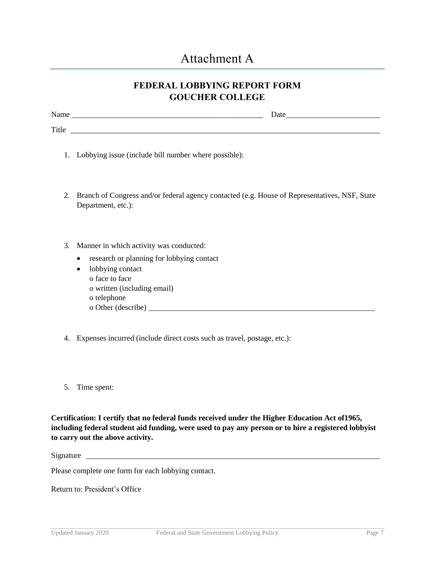# Attachment A

# **FEDERAL LOBBYING REPORT FORM GOUCHER COLLEGE**

| $\sum_{\alpha}$<br>Nathe . | Date |
|----------------------------|------|
|                            |      |
| Title                      |      |

- 1. Lobbying issue (include bill number where possible):
- 2. Branch of Congress and/or federal agency contacted (e.g. House of Representatives, NSF, State Department, etc.):
- 3. Manner in which activity was conducted:
	- research or planning for lobbying contact
	- lobbying contact o face to face o written (including email) o telephone  $o$  Other (describe)  $\frac{1}{\sqrt{a}}$
- 4. Expenses incurred (include direct costs such as travel, postage, etc.):
- 5. Time spent:

**Certification: I certify that no federal funds received under the Higher Education Act of1965, including federal student aid funding, were used to pay any person or to hire a registered lobbyist to carry out the above activity.**

Signature \_\_\_\_\_\_\_\_\_\_\_\_\_\_\_\_\_\_\_\_\_\_\_\_\_\_\_\_\_\_\_\_\_\_\_\_\_\_\_\_\_\_\_\_\_\_\_\_\_\_\_\_\_\_\_\_\_\_\_\_\_\_\_\_\_\_\_\_\_\_\_\_\_\_\_

Please complete one form for each lobbying contact.

Return to: President's Office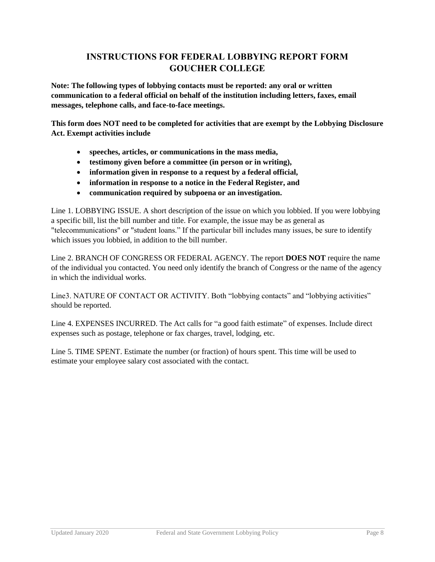# **INSTRUCTIONS FOR FEDERAL LOBBYING REPORT FORM GOUCHER COLLEGE**

**Note: The following types of lobbying contacts must be reported: any oral or written communication to a federal official on behalf of the institution including letters, faxes, email messages, telephone calls, and face-to-face meetings.**

**This form does NOT need to be completed for activities that are exempt by the Lobbying Disclosure Act. Exempt activities include**

- **speeches, articles, or communications in the mass media,**
- **testimony given before a committee (in person or in writing),**
- **information given in response to a request by a federal official,**
- **information in response to a notice in the Federal Register, and**
- **communication required by subpoena or an investigation.**

Line 1. LOBBYING ISSUE. A short description of the issue on which you lobbied. If you were lobbying a specific bill, list the bill number and title. For example, the issue may be as general as "telecommunications" or "student loans." If the particular bill includes many issues, be sure to identify which issues you lobbied, in addition to the bill number.

Line 2. BRANCH OF CONGRESS OR FEDERAL AGENCY. The report **DOES NOT** require the name of the individual you contacted. You need only identify the branch of Congress or the name of the agency in which the individual works.

Line3. NATURE OF CONTACT OR ACTIVITY. Both "lobbying contacts" and "lobbying activities" should be reported.

Line 4. EXPENSES INCURRED. The Act calls for "a good faith estimate" of expenses. Include direct expenses such as postage, telephone or fax charges, travel, lodging, etc.

Line 5. TIME SPENT. Estimate the number (or fraction) of hours spent. This time will be used to estimate your employee salary cost associated with the contact.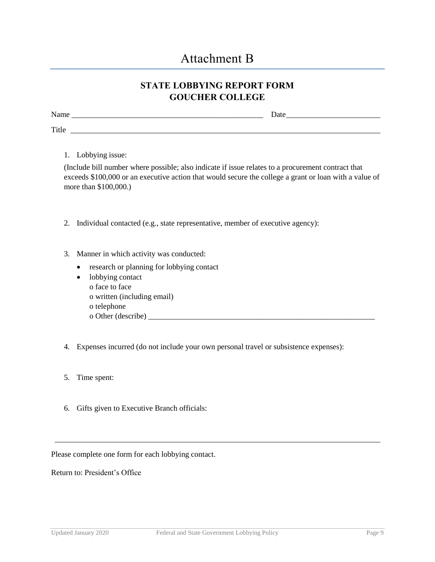# Attachment B

# **STATE LOBBYING REPORT FORM GOUCHER COLLEGE**

| N.<br>$\sim$ $\sim$<br><b>Name</b> | ⌒<br>Date |
|------------------------------------|-----------|
|                                    |           |
| Title                              |           |

1. Lobbying issue:

(Include bill number where possible; also indicate if issue relates to a procurement contract that exceeds \$100,000 or an executive action that would secure the college a grant or loan with a value of more than \$100,000.)

- 2. Individual contacted (e.g., state representative, member of executive agency):
- 3. Manner in which activity was conducted:
	- research or planning for lobbying contact
	- lobbying contact o face to face
		- o written (including email)
		- o telephone
		- o Other (describe) \_\_\_\_\_\_\_\_\_\_\_\_\_\_\_\_\_\_\_\_\_\_\_\_\_\_\_\_\_\_\_\_\_\_\_\_\_\_\_\_\_\_\_\_\_\_\_\_\_\_\_\_\_\_\_\_\_\_
- 4. Expenses incurred (do not include your own personal travel or subsistence expenses):
- 5. Time spent:
- 6. Gifts given to Executive Branch officials:

Please complete one form for each lobbying contact.

Return to: President's Office

\_\_\_\_\_\_\_\_\_\_\_\_\_\_\_\_\_\_\_\_\_\_\_\_\_\_\_\_\_\_\_\_\_\_\_\_\_\_\_\_\_\_\_\_\_\_\_\_\_\_\_\_\_\_\_\_\_\_\_\_\_\_\_\_\_\_\_\_\_\_\_\_\_\_\_\_\_\_\_\_\_\_\_